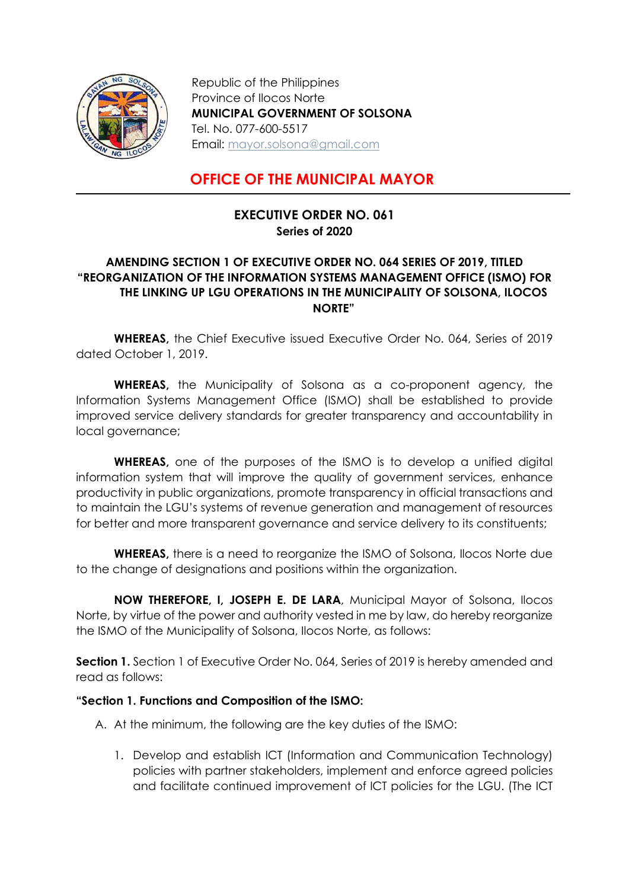

Republic of the Philippines Province of Ilocos Norte MUNICIPAL GOVERNMENT OF SOLSONA Tel. No. 077-600-5517 Email: mayor.solsona@gmail.com

## OFFICE OF THE MUNICIPAL MAYOR

## EXECUTIVE ORDER NO. 061 Series of 2020

## AMENDING SECTION 1 OF EXECUTIVE ORDER NO. 064 SERIES OF 2019, TITLED "REORGANIZATION OF THE INFORMATION SYSTEMS MANAGEMENT OFFICE (ISMO) FOR THE LINKING UP LGU OPERATIONS IN THE MUNICIPALITY OF SOLSONA, ILOCOS NORTE"

WHEREAS, the Chief Executive issued Executive Order No. 064, Series of 2019 dated October 1, 2019.

WHEREAS, the Municipality of Solsona as a co-proponent agency, the Information Systems Management Office (ISMO) shall be established to provide improved service delivery standards for greater transparency and accountability in local governance;

WHEREAS, one of the purposes of the ISMO is to develop a unified digital information system that will improve the quality of government services, enhance productivity in public organizations, promote transparency in official transactions and to maintain the LGU's systems of revenue generation and management of resources for better and more transparent governance and service delivery to its constituents;

WHEREAS, there is a need to reorganize the ISMO of Solsona, Ilocos Norte due to the change of designations and positions within the organization.

NOW THEREFORE, I, JOSEPH E. DE LARA, Municipal Mayor of Solsona, Ilocos Norte, by virtue of the power and authority vested in me by law, do hereby reorganize the ISMO of the Municipality of Solsona, Ilocos Norte, as follows:

Section 1. Section 1 of Executive Order No. 064, Series of 2019 is hereby amended and read as follows:

## "Section 1. Functions and Composition of the ISMO:

A. At the minimum, the following are the key duties of the ISMO:

1. Develop and establish ICT (Information and Communication Technology) policies with partner stakeholders, implement and enforce agreed policies and facilitate continued improvement of ICT policies for the LGU. (The ICT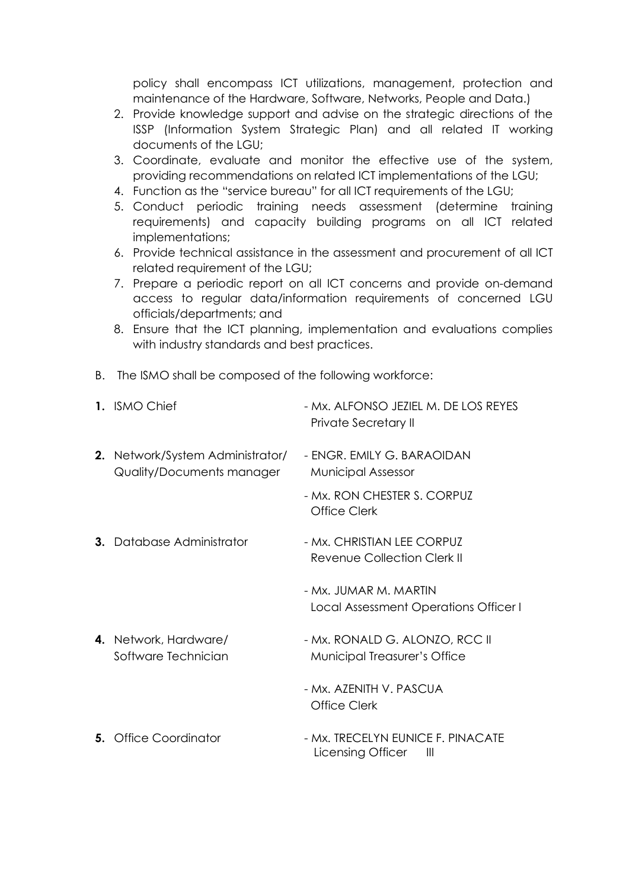policy shall encompass ICT utilizations, management, protection and maintenance of the Hardware, Software, Networks, People and Data.)

- 2. Provide knowledge support and advise on the strategic directions of the ISSP (Information System Strategic Plan) and all related IT working documents of the LGU;
- 3. Coordinate, evaluate and monitor the effective use of the system, providing recommendations on related ICT implementations of the LGU;
- 4. Function as the "service bureau" for all ICT requirements of the LGU;
- 5. Conduct periodic training needs assessment (determine training requirements) and capacity building programs on all ICT related implementations;
- 6. Provide technical assistance in the assessment and procurement of all ICT related requirement of the LGU;
- 7. Prepare a periodic report on all ICT concerns and provide on-demand access to regular data/information requirements of concerned LGU officials/departments; and
- 8. Ensure that the ICT planning, implementation and evaluations complies with industry standards and best practices.
- B. The ISMO shall be composed of the following workforce:

| 1. ISMO Chief                                                 | - Mx. ALEONSO JEZIEL M. DE LOS REYES<br>Private Secretary II |
|---------------------------------------------------------------|--------------------------------------------------------------|
| 2. Network/System Administrator/<br>Quality/Documents manager | - ENGR. EMILY G. BARAOIDAN<br><b>Municipal Assessor</b>      |
|                                                               | - Mx. RON CHESTER S. CORPUZ<br>Office Clerk                  |
| <b>3.</b> Database Administrator                              | - Mx. CHRISTIAN LEE CORPUZ<br>Revenue Collection Clerk II    |
|                                                               | - Mx. JUMAR M. MARTIN                                        |

- Local Assessment Operations Officer I
- **4.** Network, Hardware/  $\blacksquare$  Mx. RONALD G. ALONZO, RCC II Software Technician Municipal Treasurer's Office
	- Mx. AZENITH V. PASCUA Office Clerk
- 5. Office Coordinator Mx. TRECELYN EUNICE F. PINACATE Licensing Officer III